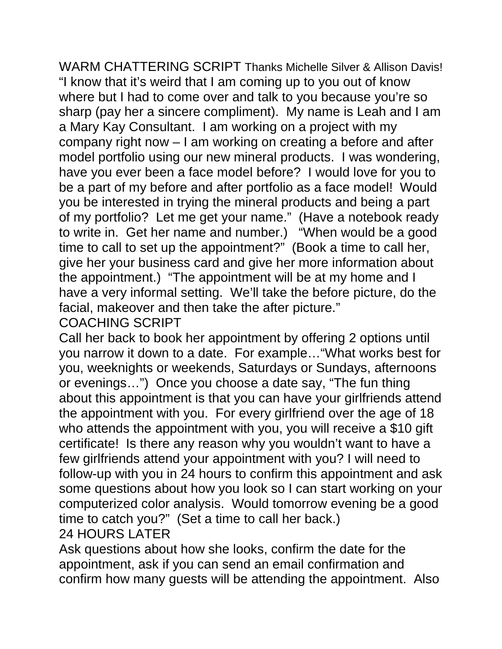WARM CHATTERING SCRIPT Thanks Michelle Silver & Allison Davis! "I know that it's weird that I am coming up to you out of know where but I had to come over and talk to you because you're so sharp (pay her a sincere compliment). My name is Leah and I am a Mary Kay Consultant. I am working on a project with my company right now – I am working on creating a before and after model portfolio using our new mineral products. I was wondering, have you ever been a face model before? I would love for you to be a part of my before and after portfolio as a face model! Would you be interested in trying the mineral products and being a part of my portfolio? Let me get your name." (Have a notebook ready to write in. Get her name and number.) "When would be a good time to call to set up the appointment?" (Book a time to call her, give her your business card and give her more information about the appointment.) "The appointment will be at my home and I have a very informal setting. We'll take the before picture, do the facial, makeover and then take the after picture."

## COACHING SCRIPT

Call her back to book her appointment by offering 2 options until you narrow it down to a date. For example…"What works best for you, weeknights or weekends, Saturdays or Sundays, afternoons or evenings…") Once you choose a date say, "The fun thing about this appointment is that you can have your girlfriends attend the appointment with you. For every girlfriend over the age of 18 who attends the appointment with you, you will receive a \$10 gift certificate! Is there any reason why you wouldn't want to have a few girlfriends attend your appointment with you? I will need to follow-up with you in 24 hours to confirm this appointment and ask some questions about how you look so I can start working on your computerized color analysis. Would tomorrow evening be a good time to catch you?" (Set a time to call her back.) 24 HOURS LATER

Ask questions about how she looks, confirm the date for the appointment, ask if you can send an email confirmation and confirm how many guests will be attending the appointment. Also